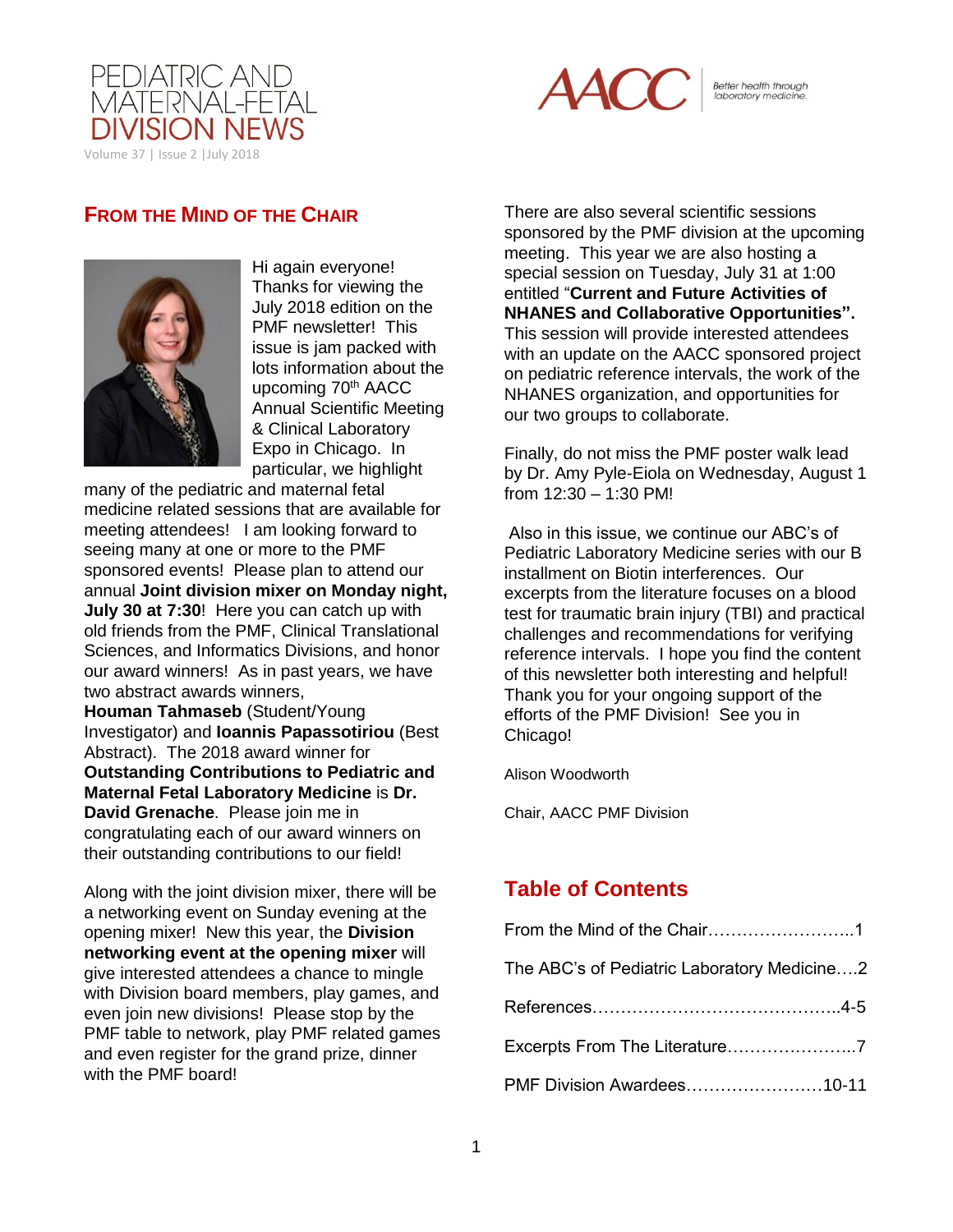



Better health through<br>laboratory medicine.

## **FROM THE MIND OF THE CHAIR**



Hi again everyone! Thanks for viewing the July 2018 edition on the PMF newsletter! This issue is jam packed with lots information about the upcoming 70<sup>th</sup> AACC Annual Scientific Meeting & Clinical Laboratory Expo in Chicago. In particular, we highlight

many of the pediatric and maternal fetal medicine related sessions that are available for meeting attendees! I am looking forward to seeing many at one or more to the PMF sponsored events! Please plan to attend our annual **Joint division mixer on Monday night, July 30 at 7:30**! Here you can catch up with old friends from the PMF, Clinical Translational Sciences, and Informatics Divisions, and honor our award winners! As in past years, we have two abstract awards winners, **Houman Tahmaseb** (Student/Young Investigator) and **Ioannis Papassotiriou** (Best Abstract). The 2018 award winner for **Outstanding Contributions to Pediatric and** 

**Maternal Fetal Laboratory Medicine** is **Dr. David Grenache**. Please join me in congratulating each of our award winners on their outstanding contributions to our field!

Along with the joint division mixer, there will be a networking event on Sunday evening at the opening mixer! New this year, the **Division networking event at the opening mixer** will give interested attendees a chance to mingle with Division board members, play games, and even join new divisions! Please stop by the PMF table to network, play PMF related games and even register for the grand prize, dinner with the PMF board!

There are also several scientific sessions sponsored by the PMF division at the upcoming meeting. This year we are also hosting a special session on Tuesday, July 31 at 1:00 entitled "**Current and Future Activities of NHANES and Collaborative Opportunities".**  This session will provide interested attendees with an update on the AACC sponsored project on pediatric reference intervals, the work of the NHANES organization, and opportunities for our two groups to collaborate.

Finally, do not miss the PMF poster walk lead by Dr. Amy Pyle-Eiola on Wednesday, August 1 from 12:30 – 1:30 PM!

Also in this issue, we continue our ABC's of Pediatric Laboratory Medicine series with our B installment on Biotin interferences. Our excerpts from the literature focuses on a blood test for traumatic brain injury (TBI) and practical challenges and recommendations for verifying reference intervals. I hope you find the content of this newsletter both interesting and helpful! Thank you for your ongoing support of the efforts of the PMF Division! See you in Chicago!

Alison Woodworth

Chair, AACC PMF Division

# **Table of Contents**

| From the Mind of the Chair1                 |
|---------------------------------------------|
| The ABC's of Pediatric Laboratory Medicine2 |
|                                             |
| Excerpts From The Literature7               |
| PMF Division Awardees10-11                  |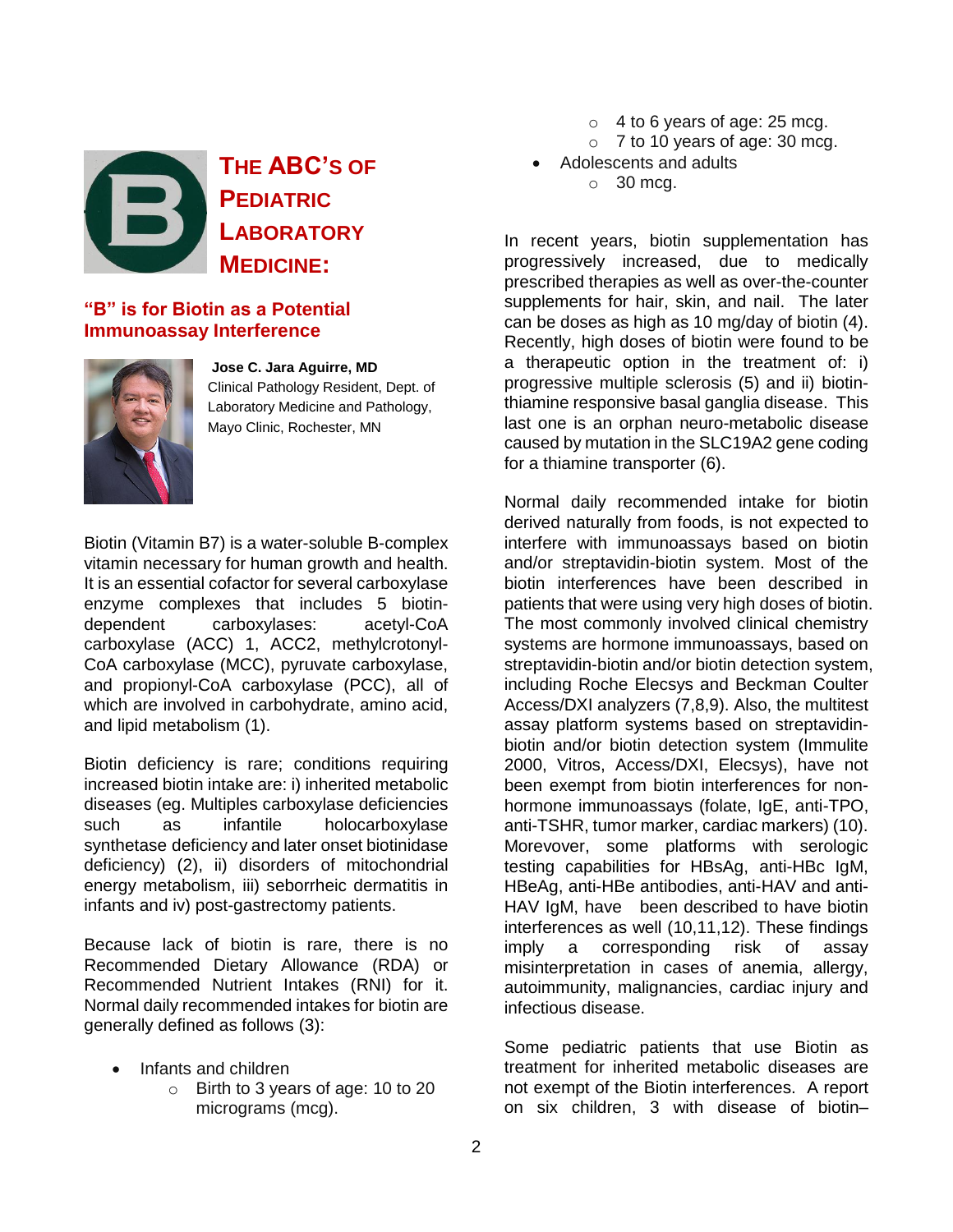

**THE ABC'S OF PEDIATRIC LABORATORY MEDICINE:**

## **"B" is for Biotin as a Potential Immunoassay Interference**



**Jose C. Jara Aguirre, MD** Clinical Pathology Resident, Dept. of Laboratory Medicine and Pathology, Mayo Clinic, Rochester, MN

Biotin (Vitamin B7) is a water-soluble B-complex vitamin necessary for human growth and health. It is an essential cofactor for several carboxylase enzyme complexes that includes 5 biotindependent carboxylases: acetyl-CoA carboxylase (ACC) 1, ACC2, methylcrotonyl-CoA carboxylase (MCC), pyruvate carboxylase, and propionyl-CoA carboxylase (PCC), all of which are involved in carbohydrate, amino acid, and lipid metabolism (1).

Biotin deficiency is rare; conditions requiring increased biotin intake are: i) inherited metabolic diseases (eg. Multiples carboxylase deficiencies such as infantile holocarboxylase synthetase deficiency and later onset biotinidase deficiency) (2), ii) disorders of mitochondrial energy metabolism, iii) seborrheic dermatitis in infants and iv) post-gastrectomy patients.

Because lack of biotin is rare, there is no Recommended Dietary Allowance (RDA) or Recommended Nutrient Intakes (RNI) for it. Normal daily recommended intakes for biotin are generally defined as follows (3):

- Infants and children
	- o Birth to 3 years of age: 10 to 20 micrograms (mcg).
- $\circ$  4 to 6 years of age: 25 mcg.
- $\circ$  7 to 10 years of age: 30 mcg.
- Adolescents and adults
	- $\circ$  30 mcg.

In recent years, biotin supplementation has progressively increased, due to medically prescribed therapies as well as over-the-counter supplements for hair, skin, and nail. The later can be doses as high as 10 mg/day of biotin (4). Recently, high doses of biotin were found to be a therapeutic option in the treatment of: i) progressive multiple sclerosis (5) and ii) biotinthiamine responsive basal ganglia disease. This last one is an orphan neuro-metabolic disease caused by mutation in the SLC19A2 gene coding for a thiamine transporter (6).

Normal daily recommended intake for biotin derived naturally from foods, is not expected to interfere with immunoassays based on biotin and/or streptavidin-biotin system. Most of the biotin interferences have been described in patients that were using very high doses of biotin. The most commonly involved clinical chemistry systems are hormone immunoassays, based on streptavidin-biotin and/or biotin detection system, including Roche Elecsys and Beckman Coulter Access/DXI analyzers (7,8,9). Also, the multitest assay platform systems based on streptavidinbiotin and/or biotin detection system (Immulite 2000, Vitros, Access/DXI, Elecsys), have not been exempt from biotin interferences for nonhormone immunoassays (folate, IgE, anti-TPO, anti-TSHR, tumor marker, cardiac markers) (10). Morevover, some platforms with serologic testing capabilities for HBsAg, anti-HBc IgM, HBeAg, anti-HBe antibodies, anti-HAV and anti-HAV IgM, have been described to have biotin interferences as well (10,11,12). These findings imply a corresponding risk of assay misinterpretation in cases of anemia, allergy, autoimmunity, malignancies, cardiac injury and infectious disease.

Some pediatric patients that use Biotin as treatment for inherited metabolic diseases are not exempt of the Biotin interferences. A report on six children, 3 with disease of biotin–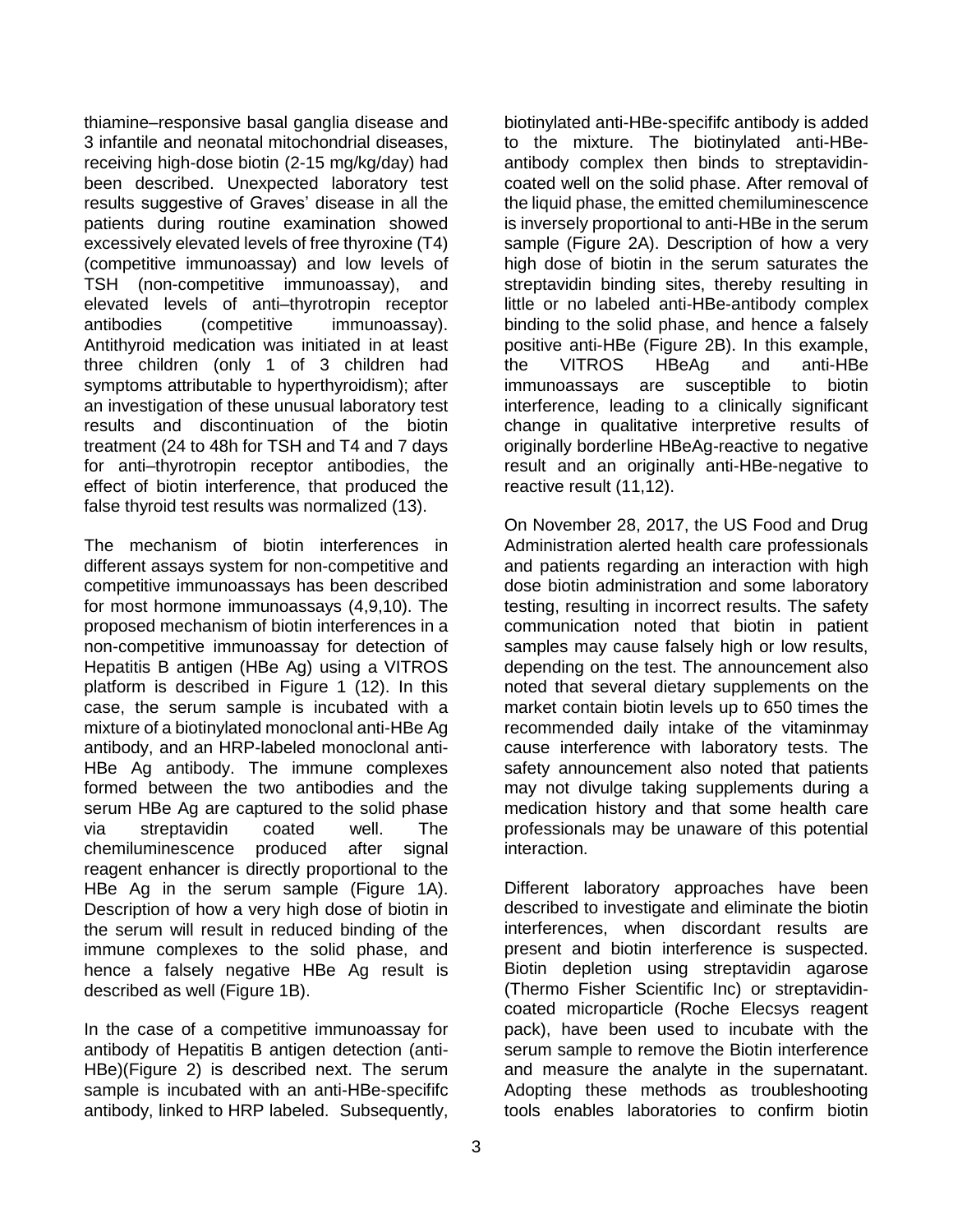thiamine–responsive basal ganglia disease and 3 infantile and neonatal mitochondrial diseases, receiving high-dose biotin (2-15 mg/kg/day) had been described. Unexpected laboratory test results suggestive of Graves' disease in all the patients during routine examination showed excessively elevated levels of free thyroxine (T4) (competitive immunoassay) and low levels of TSH (non-competitive immunoassay), and elevated levels of anti–thyrotropin receptor antibodies (competitive immunoassay). Antithyroid medication was initiated in at least three children (only 1 of 3 children had symptoms attributable to hyperthyroidism); after an investigation of these unusual laboratory test results and discontinuation of the biotin treatment (24 to 48h for TSH and T4 and 7 days for anti–thyrotropin receptor antibodies, the effect of biotin interference, that produced the false thyroid test results was normalized (13).

The mechanism of biotin interferences in different assays system for non-competitive and competitive immunoassays has been described for most hormone immunoassays (4,9,10). The proposed mechanism of biotin interferences in a non-competitive immunoassay for detection of Hepatitis B antigen (HBe Ag) using a VITROS platform is described in Figure 1 (12). In this case, the serum sample is incubated with a mixture of a biotinylated monoclonal anti-HBe Ag antibody, and an HRP-labeled monoclonal anti-HBe Ag antibody. The immune complexes formed between the two antibodies and the serum HBe Ag are captured to the solid phase via streptavidin coated well. The chemiluminescence produced after signal reagent enhancer is directly proportional to the HBe Ag in the serum sample (Figure 1A). Description of how a very high dose of biotin in the serum will result in reduced binding of the immune complexes to the solid phase, and hence a falsely negative HBe Ag result is described as well (Figure 1B).

In the case of a competitive immunoassay for antibody of Hepatitis B antigen detection (anti-HBe)(Figure 2) is described next. The serum sample is incubated with an anti-HBe-specififc antibody, linked to HRP labeled. Subsequently,

biotinylated anti-HBe-specififc antibody is added to the mixture. The biotinylated anti-HBeantibody complex then binds to streptavidincoated well on the solid phase. After removal of the liquid phase, the emitted chemiluminescence is inversely proportional to anti-HBe in the serum sample (Figure 2A). Description of how a very high dose of biotin in the serum saturates the streptavidin binding sites, thereby resulting in little or no labeled anti-HBe-antibody complex binding to the solid phase, and hence a falsely positive anti-HBe (Figure 2B). In this example, the VITROS HBeAg and anti-HBe immunoassays are susceptible to biotin interference, leading to a clinically significant change in qualitative interpretive results of originally borderline HBeAg-reactive to negative result and an originally anti-HBe-negative to reactive result (11,12).

On November 28, 2017, the US Food and Drug Administration alerted health care professionals and patients regarding an interaction with high dose biotin administration and some laboratory testing, resulting in incorrect results. The safety communication noted that biotin in patient samples may cause falsely high or low results, depending on the test. The announcement also noted that several dietary supplements on the market contain biotin levels up to 650 times the recommended daily intake of the vitaminmay cause interference with laboratory tests. The safety announcement also noted that patients may not divulge taking supplements during a medication history and that some health care professionals may be unaware of this potential interaction.

Different laboratory approaches have been described to investigate and eliminate the biotin interferences, when discordant results are present and biotin interference is suspected. Biotin depletion using streptavidin agarose (Thermo Fisher Scientific Inc) or streptavidincoated microparticle (Roche Elecsys reagent pack), have been used to incubate with the serum sample to remove the Biotin interference and measure the analyte in the supernatant. Adopting these methods as troubleshooting tools enables laboratories to confirm biotin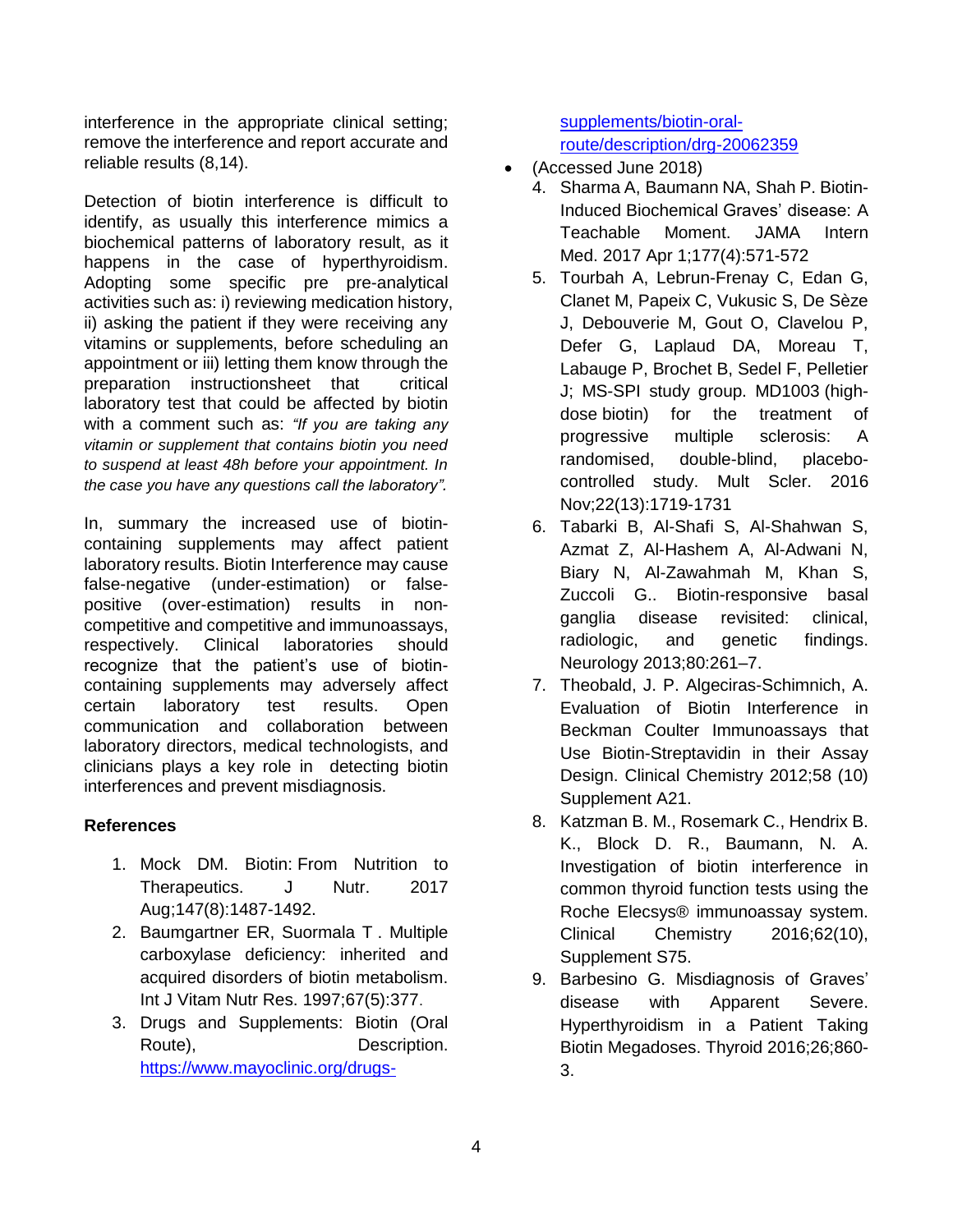interference in the appropriate clinical setting; remove the interference and report accurate and reliable results (8,14).

Detection of biotin interference is difficult to identify, as usually this interference mimics a biochemical patterns of laboratory result, as it happens in the case of hyperthyroidism. Adopting some specific pre pre-analytical activities such as: i) reviewing medication history, ii) asking the patient if they were receiving any vitamins or supplements, before scheduling an appointment or iii) letting them know through the preparation instructionsheet that critical laboratory test that could be affected by biotin with a comment such as: *"If you are taking any vitamin or supplement that contains biotin you need to suspend at least 48h before your appointment. In the case you have any questions call the laboratory".* 

In, summary the increased use of biotincontaining supplements may affect patient laboratory results. Biotin Interference may cause false-negative (under-estimation) or falsepositive (over-estimation) results in noncompetitive and competitive and immunoassays, respectively. Clinical laboratories should recognize that the patient's use of biotincontaining supplements may adversely affect certain laboratory test results. Open communication and collaboration between laboratory directors, medical technologists, and clinicians plays a key role in detecting biotin interferences and prevent misdiagnosis.

## **References**

- 1. Mock DM. Biotin: [From Nutrition to](http://www.ncbi.nlm.nih.gov/pubmed/28701385?otool=mnmcclib&myncbishare=mnmcclib)  [Therapeutics.](http://www.ncbi.nlm.nih.gov/pubmed/28701385?otool=mnmcclib&myncbishare=mnmcclib) J Nutr. 2017 Aug;147(8):1487-1492.
- 2. Baumgartner ER, Suormala T . Multiple carboxylase deficiency: inherited and acquired disorders of biotin metabolism. Int J Vitam Nutr Res. 1997;67(5):377.
- 3. Drugs and Supplements: Biotin (Oral Route), **Description.** [https://www.mayoclinic.org/drugs-](https://www.mayoclinic.org/drugs-supplements/biotin-oral-route/description/drg-20062359)

[supplements/biotin-oral](https://www.mayoclinic.org/drugs-supplements/biotin-oral-route/description/drg-20062359)[route/description/drg-20062359](https://www.mayoclinic.org/drugs-supplements/biotin-oral-route/description/drg-20062359)

- (Accessed June 2018)
	- 4. [Sharma A,](https://www.ncbi.nlm.nih.gov/pubmed/?term=Sharma%20A%5BAuthor%5D&cauthor=true&cauthor_uid=28192572) [Baumann NA,](https://www.ncbi.nlm.nih.gov/pubmed/?term=Baumann%20NA%5BAuthor%5D&cauthor=true&cauthor_uid=28192572) [Shah P.](https://www.ncbi.nlm.nih.gov/pubmed/?term=Shah%20P%5BAuthor%5D&cauthor=true&cauthor_uid=28192572) Biotin-Induced Biochemical Graves' disease: A Teachable Moment. [JAMA Intern](https://www.ncbi.nlm.nih.gov/pubmed/?term=Biotin-Induced+Biochemical)  [Med.](https://www.ncbi.nlm.nih.gov/pubmed/?term=Biotin-Induced+Biochemical) 2017 Apr 1;177(4):571-572
	- 5. Tourbah A, Lebrun-Frenay C, Edan G, Clanet M, Papeix C, Vukusic S, De Sèze J, Debouverie M, Gout O, Clavelou P, Defer G, Laplaud DA, Moreau T, Labauge P, Brochet B, Sedel F, Pelletier J; MS-SPI study group. [MD1003](https://www.ncbi.nlm.nih.gov/pubmed/27589059) (highdose [biotin\) for the treatment of](https://www.ncbi.nlm.nih.gov/pubmed/27589059)  [progressive multiple sclerosis: A](https://www.ncbi.nlm.nih.gov/pubmed/27589059)  [randomised, double-blind, placebo](https://www.ncbi.nlm.nih.gov/pubmed/27589059)[controlled study.](https://www.ncbi.nlm.nih.gov/pubmed/27589059) Mult Scler. 2016 Nov;22(13):1719-1731
	- 6. Tabarki B, Al-Shafi S, Al-Shahwan S, Azmat Z, Al-Hashem A, Al-Adwani N, Biary N, Al-Zawahmah M, Khan S, Zuccoli G.. Biotin-responsive basal ganglia disease revisited: clinical, radiologic, and genetic findings. Neurology 2013;80:261–7.
	- 7. Theobald, J. P. Algeciras-Schimnich, A. Evaluation of Biotin Interference in Beckman Coulter Immunoassays that Use Biotin-Streptavidin in their Assay Design. Clinical Chemistry 2012;58 (10) Supplement A21.
	- 8. Katzman B. M., Rosemark C., Hendrix B. K., Block D. R., Baumann, N. A. Investigation of biotin interference in common thyroid function tests using the Roche Elecsys® immunoassay system. Clinical Chemistry 2016;62(10), Supplement S75.
	- 9. Barbesino G. Misdiagnosis of Graves' disease with Apparent Severe. Hyperthyroidism in a Patient Taking Biotin Megadoses. Thyroid 2016;26;860- 3.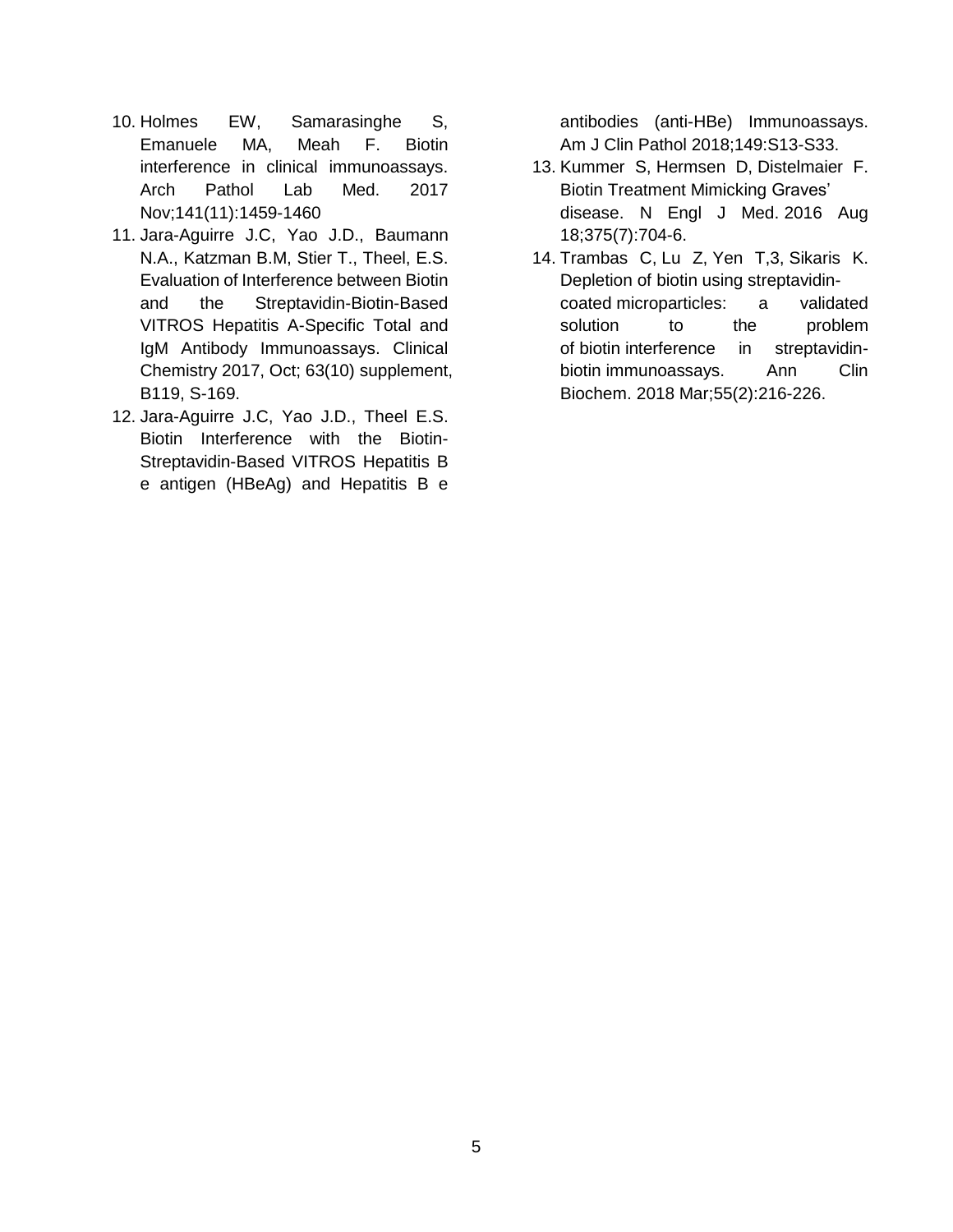- 10. Holmes EW, Samarasinghe S, Emanuele MA, Meah F. Biotin interference in clinical immunoassays. Arch Pathol Lab Med. 2017 Nov;141(11):1459-1460
- 11. Jara-Aguirre J.C, Yao J.D., Baumann N.A., Katzman B.M, Stier T., Theel, E.S. Evaluation of Interference between Biotin and the Streptavidin-Biotin-Based VITROS Hepatitis A-Specific Total and IgM Antibody Immunoassays. Clinical Chemistry 2017, Oct; 63(10) supplement, B119, S-169.
- 12. Jara-Aguirre J.C, Yao J.D., Theel E.S. Biotin Interference with the Biotin-Streptavidin-Based VITROS Hepatitis B e antigen (HBeAg) and Hepatitis B e

antibodies (anti-HBe) Immunoassays. Am J Clin Pathol 2018;149:S13-S33.

- 13. [Kummer S,](https://www.ncbi.nlm.nih.gov/pubmed/?term=Kummer%20S%5BAuthor%5D&cauthor=true&cauthor_uid=27532849) [Hermsen D,](https://www.ncbi.nlm.nih.gov/pubmed/?term=Hermsen%20D%5BAuthor%5D&cauthor=true&cauthor_uid=27532849) [Distelmaier F.](https://www.ncbi.nlm.nih.gov/pubmed/?term=Distelmaier%20F%5BAuthor%5D&cauthor=true&cauthor_uid=27532849) Biotin Treatment Mimicking Graves' disease. [N Engl J Med.](https://www.ncbi.nlm.nih.gov/pubmed/27532849) 2016 Aug 18;375(7):704-6.
- 14. [Trambas C,](https://www.ncbi.nlm.nih.gov/pubmed/?term=Trambas%20C%5BAuthor%5D&cauthor=true&cauthor_uid=28406314) [Lu Z,](https://www.ncbi.nlm.nih.gov/pubmed/?term=Lu%20Z%5BAuthor%5D&cauthor=true&cauthor_uid=28406314) [Yen T,](https://www.ncbi.nlm.nih.gov/pubmed/?term=Yen%20T%5BAuthor%5D&cauthor=true&cauthor_uid=28406314)3, [Sikaris K.](https://www.ncbi.nlm.nih.gov/pubmed/?term=Sikaris%20K%5BAuthor%5D&cauthor=true&cauthor_uid=28406314) Depletion of biotin using streptavidincoated microparticles: a validated solution to the problem of biotin interference in streptavidinbiotin immunoassays. [Ann Clin](https://www.ncbi.nlm.nih.gov/pubmed/?term=depletion+of+biotin+using+streptavidin-coated+microparticles)  [Biochem.](https://www.ncbi.nlm.nih.gov/pubmed/?term=depletion+of+biotin+using+streptavidin-coated+microparticles) 2018 Mar;55(2):216-226.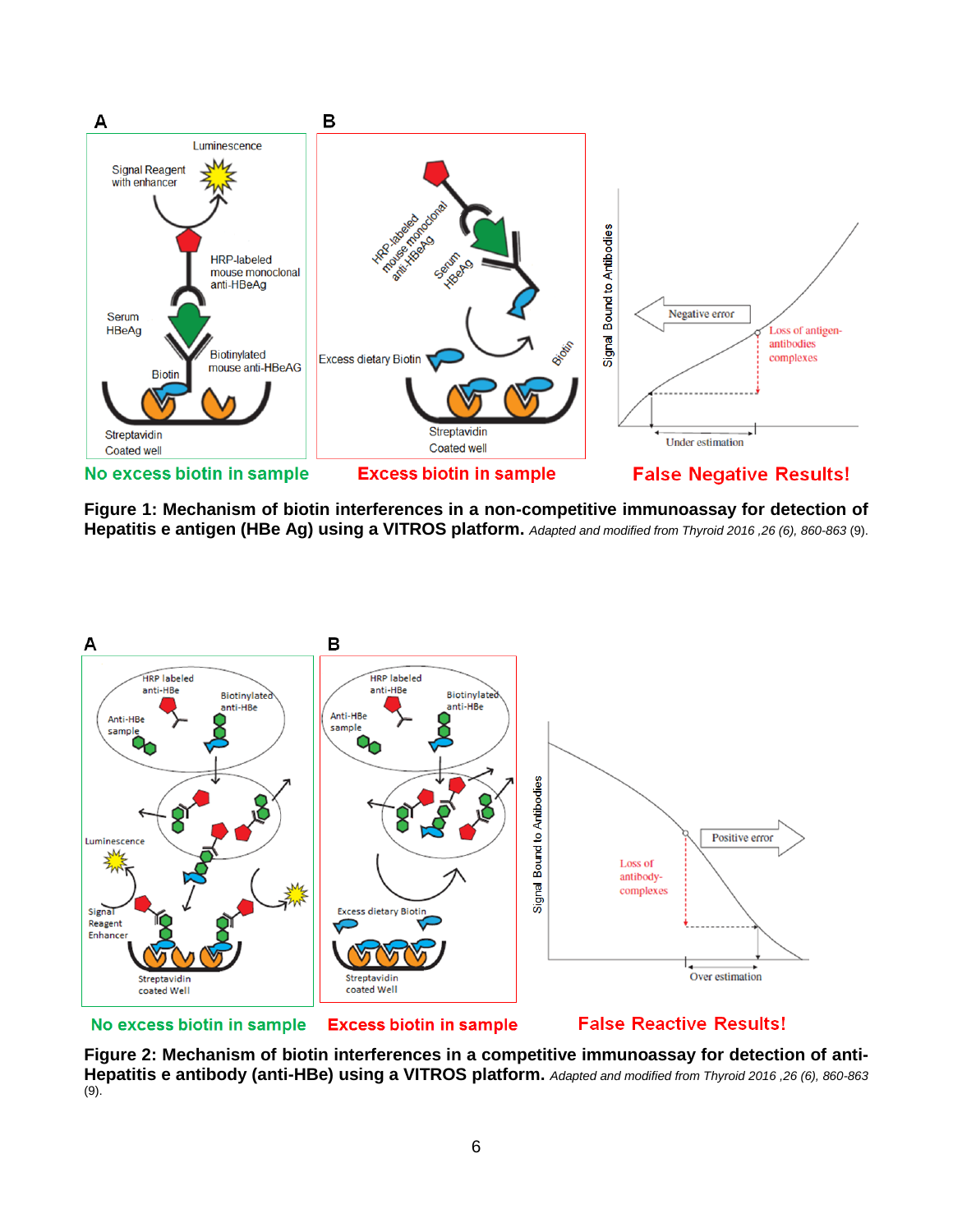

**Figure 1: Mechanism of biotin interferences in a non-competitive immunoassay for detection of Hepatitis e antigen (HBe Ag) using a VITROS platform.** *Adapted and modified from Thyroid 2016 ,26 (6), 860-863* (9).



**Excess biotin in sample** No excess biotin in sample

**False Reactive Results!** 

**Figure 2: Mechanism of biotin interferences in a competitive immunoassay for detection of anti-Hepatitis e antibody (anti-HBe) using a VITROS platform.** *Adapted and modified from Thyroid 2016 ,26 (6), 860-863*  (9).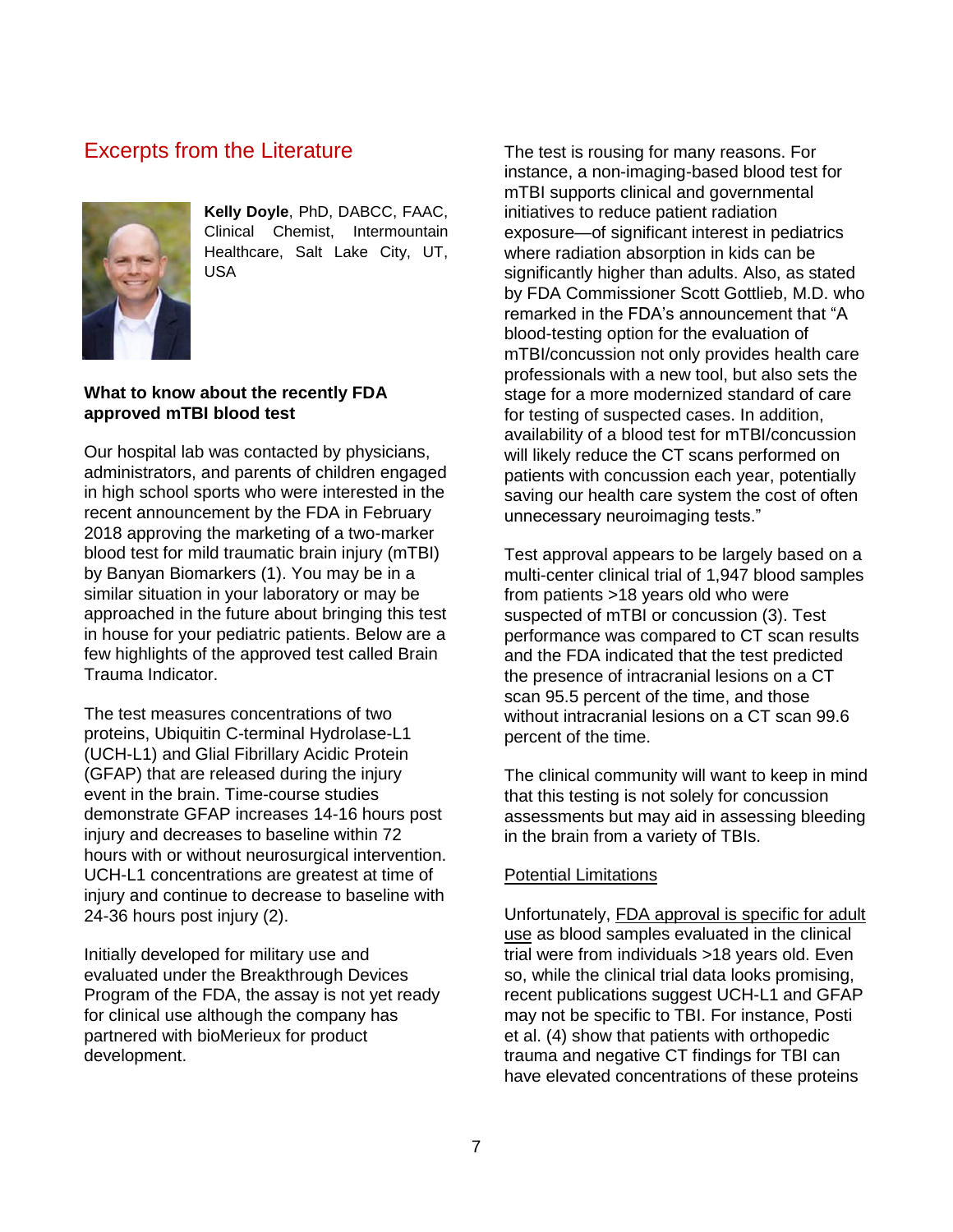# Excerpts from the Literature



**Kelly Doyle**, PhD, DABCC, FAAC, Clinical Chemist, Intermountain Healthcare, Salt Lake City, UT, USA

## **What to know about the recently FDA approved mTBI blood test**

Our hospital lab was contacted by physicians, administrators, and parents of children engaged in high school sports who were interested in the recent announcement by the FDA in February 2018 approving the marketing of a two-marker blood test for mild traumatic brain injury (mTBI) by Banyan Biomarkers (1). You may be in a similar situation in your laboratory or may be approached in the future about bringing this test in house for your pediatric patients. Below are a few highlights of the approved test called Brain Trauma Indicator.

The test measures concentrations of two proteins, Ubiquitin C-terminal Hydrolase-L1 (UCH-L1) and Glial Fibrillary Acidic Protein (GFAP) that are released during the injury event in the brain. Time-course studies demonstrate GFAP increases 14-16 hours post injury and decreases to baseline within 72 hours with or without neurosurgical intervention. UCH-L1 concentrations are greatest at time of injury and continue to decrease to baseline with 24-36 hours post injury (2).

Initially developed for military use and evaluated under the Breakthrough Devices Program of the FDA, the assay is not yet ready for clinical use although the company has partnered with bioMerieux for product development.

The test is rousing for many reasons. For instance, a non-imaging-based blood test for mTBI supports clinical and governmental initiatives to reduce patient radiation exposure—of significant interest in pediatrics where radiation absorption in kids can be significantly higher than adults. Also, as stated by FDA Commissioner Scott Gottlieb, M.D. who remarked in the FDA's announcement that "A blood-testing option for the evaluation of mTBI/concussion not only provides health care professionals with a new tool, but also sets the stage for a more modernized standard of care for testing of suspected cases. In addition, availability of a blood test for mTBI/concussion will likely reduce the CT scans performed on patients with concussion each year, potentially saving our health care system the cost of often unnecessary neuroimaging tests."

Test approval appears to be largely based on a multi-center clinical trial of 1,947 blood samples from patients >18 years old who were suspected of mTBI or concussion (3). Test performance was compared to CT scan results and the FDA indicated that the test predicted the presence of intracranial lesions on a CT scan 95.5 percent of the time, and those without intracranial lesions on a CT scan 99.6 percent of the time.

The clinical community will want to keep in mind that this testing is not solely for concussion assessments but may aid in assessing bleeding in the brain from a variety of TBIs.

### Potential Limitations

Unfortunately, FDA approval is specific for adult use as blood samples evaluated in the clinical trial were from individuals >18 years old. Even so, while the clinical trial data looks promising, recent publications suggest UCH-L1 and GFAP may not be specific to TBI. For instance, Posti et al. (4) show that patients with orthopedic trauma and negative CT findings for TBI can have elevated concentrations of these proteins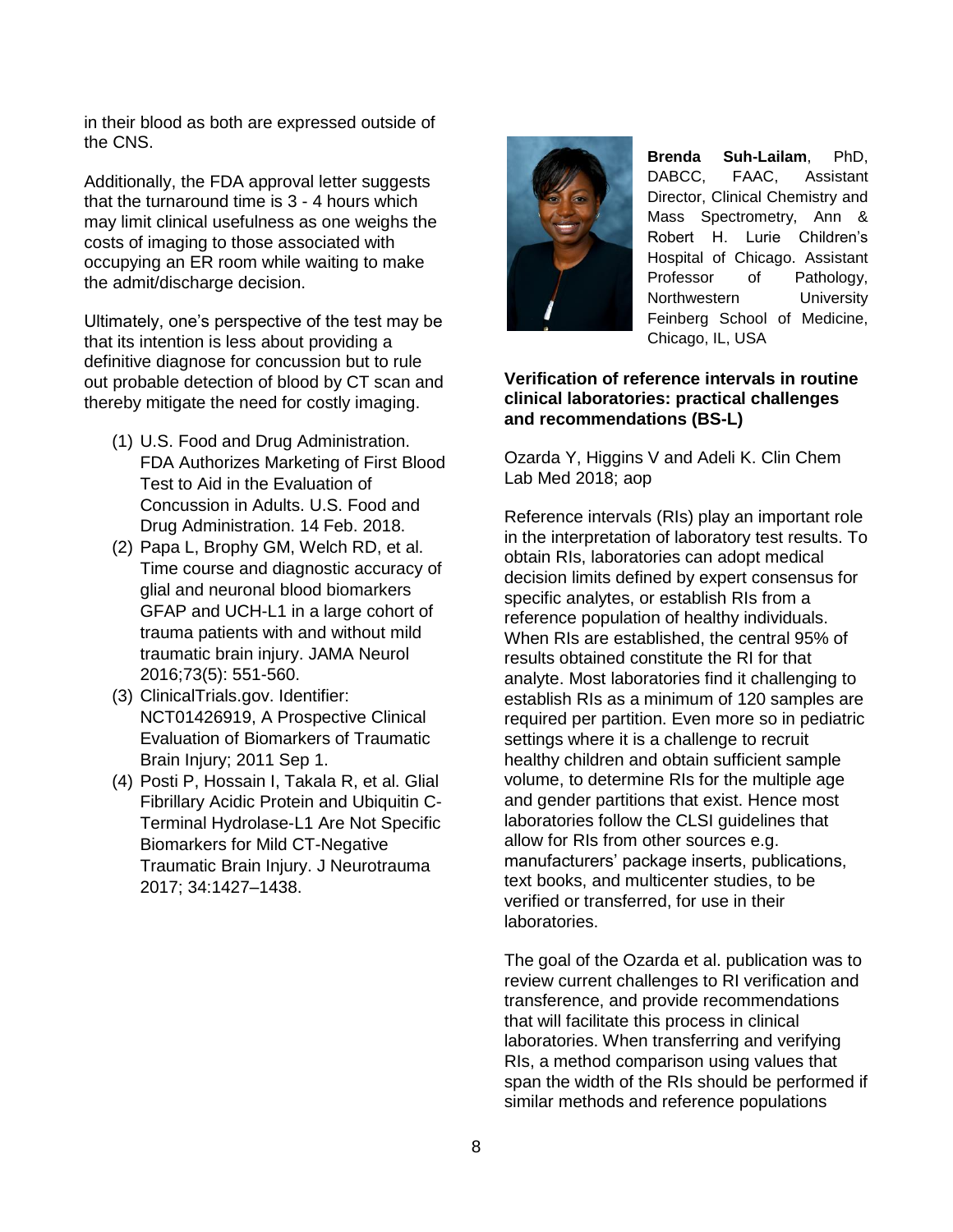in their blood as both are expressed outside of the CNS.

Additionally, the FDA approval letter suggests that the turnaround time is 3 - 4 hours which may limit clinical usefulness as one weighs the costs of imaging to those associated with occupying an ER room while waiting to make the admit/discharge decision.

Ultimately, one's perspective of the test may be that its intention is less about providing a definitive diagnose for concussion but to rule out probable detection of blood by CT scan and thereby mitigate the need for costly imaging.

- (1) U.S. Food and Drug Administration. FDA Authorizes Marketing of First Blood Test to Aid in the Evaluation of Concussion in Adults. U.S. Food and Drug Administration. 14 Feb. 2018.
- (2) Papa L, Brophy GM, Welch RD, et al. Time course and diagnostic accuracy of glial and neuronal blood biomarkers GFAP and UCH-L1 in a large cohort of trauma patients with and without mild traumatic brain injury. JAMA Neurol 2016;73(5): 551-560.
- (3) ClinicalTrials.gov. Identifier: NCT01426919, A Prospective Clinical Evaluation of Biomarkers of Traumatic Brain Injury; 2011 Sep 1.
- (4) Posti P, Hossain I, Takala R, et al. Glial Fibrillary Acidic Protein and Ubiquitin C-Terminal Hydrolase-L1 Are Not Specific Biomarkers for Mild CT-Negative Traumatic Brain Injury. J Neurotrauma 2017; 34:1427–1438.



**Brenda Suh-Lailam**, PhD, DABCC, FAAC, Assistant Director, Clinical Chemistry and Mass Spectrometry, Ann & Robert H. Lurie Children's Hospital of Chicago. Assistant Professor of Pathology, Northwestern University Feinberg School of Medicine, Chicago, IL, USA

## **Verification of reference intervals in routine clinical laboratories: practical challenges and recommendations (BS-L)**

Ozarda Y, Higgins V and Adeli K. Clin Chem Lab Med 2018; aop

Reference intervals (RIs) play an important role in the interpretation of laboratory test results. To obtain RIs, laboratories can adopt medical decision limits defined by expert consensus for specific analytes, or establish RIs from a reference population of healthy individuals. When RIs are established, the central 95% of results obtained constitute the RI for that analyte. Most laboratories find it challenging to establish RIs as a minimum of 120 samples are required per partition. Even more so in pediatric settings where it is a challenge to recruit healthy children and obtain sufficient sample volume, to determine RIs for the multiple age and gender partitions that exist. Hence most laboratories follow the CLSI guidelines that allow for RIs from other sources e.g. manufacturers' package inserts, publications, text books, and multicenter studies, to be verified or transferred, for use in their laboratories.

The goal of the Ozarda et al. publication was to review current challenges to RI verification and transference, and provide recommendations that will facilitate this process in clinical laboratories. When transferring and verifying RIs, a method comparison using values that span the width of the RIs should be performed if similar methods and reference populations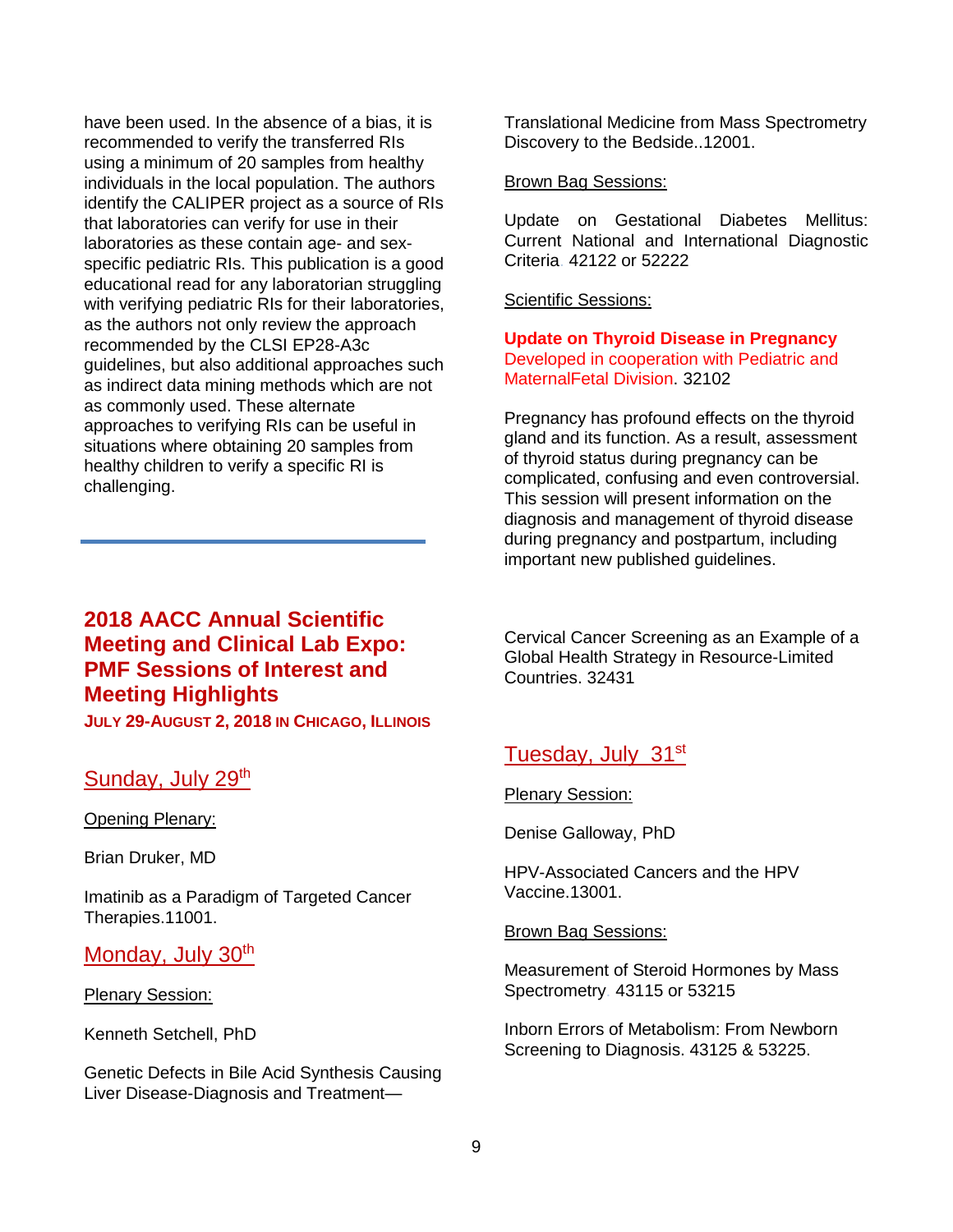have been used. In the absence of a bias, it is recommended to verify the transferred RIs using a minimum of 20 samples from healthy individuals in the local population. The authors identify the CALIPER project as a source of RIs that laboratories can verify for use in their laboratories as these contain age- and sexspecific pediatric RIs. This publication is a good educational read for any laboratorian struggling with verifying pediatric RIs for their laboratories, as the authors not only review the approach recommended by the CLSI EP28-A3c guidelines, but also additional approaches such as indirect data mining methods which are not as commonly used. These alternate approaches to verifying RIs can be useful in situations where obtaining 20 samples from healthy children to verify a specific RI is challenging.

## **2018 AACC Annual Scientific Meeting and Clinical Lab Expo: PMF Sessions of Interest and Meeting Highlights JULY 29-AUGUST 2, 2018 IN CHICAGO, ILLINOIS**

## Sunday, July 29th

Opening Plenary:

Brian Druker, MD

Imatinib as a Paradigm of Targeted Cancer Therapies.11001.

## Monday, July 30<sup>th</sup>

### Plenary Session:

Kenneth Setchell, PhD

Genetic Defects in Bile Acid Synthesis Causing Liver Disease-Diagnosis and TreatmentTranslational Medicine from Mass Spectrometry Discovery to the Bedside..12001.

### Brown Bag Sessions:

Update on Gestational Diabetes Mellitus: Current National and International Diagnostic Criteria. 42122 or 52222

## Scientific Sessions:

**Update on Thyroid Disease in Pregnancy** Developed in cooperation with Pediatric and MaternalFetal Division. 32102

Pregnancy has profound effects on the thyroid gland and its function. As a result, assessment of thyroid status during pregnancy can be complicated, confusing and even controversial. This session will present information on the diagnosis and management of thyroid disease during pregnancy and postpartum, including important new published guidelines.

Cervical Cancer Screening as an Example of a Global Health Strategy in Resource-Limited Countries. 32431

# Tuesday, July 31st

Plenary Session:

Denise Galloway, PhD

HPV-Associated Cancers and the HPV Vaccine.13001.

### Brown Bag Sessions:

Measurement of Steroid Hormones by Mass Spectrometry. 43115 or 53215

Inborn Errors of Metabolism: From Newborn Screening to Diagnosis. 43125 & 53225.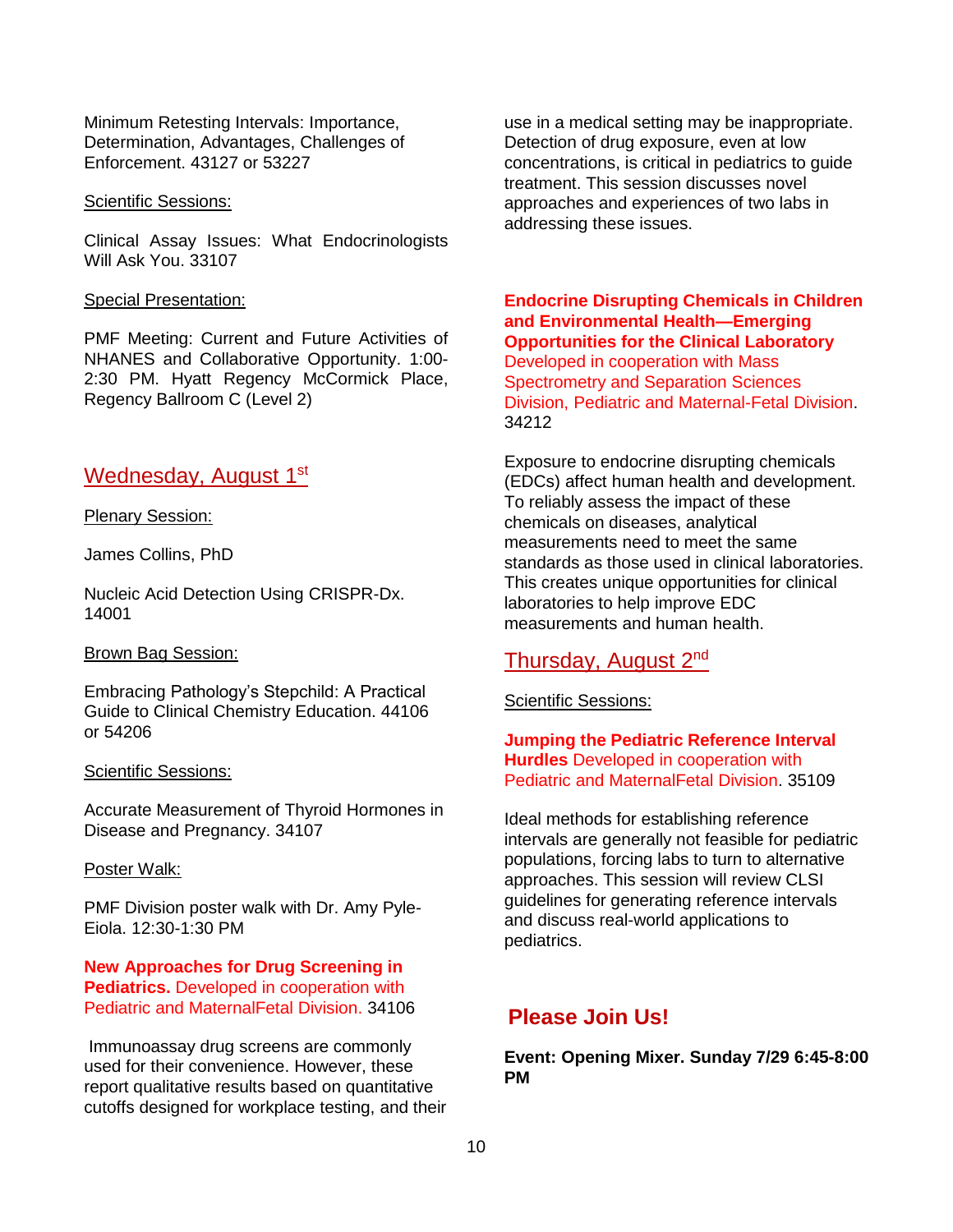Minimum Retesting Intervals: Importance, Determination, Advantages, Challenges of Enforcement. 43127 or 53227

#### Scientific Sessions:

Clinical Assay Issues: What Endocrinologists Will Ask You. 33107

#### Special Presentation:

PMF Meeting: Current and Future Activities of NHANES and Collaborative Opportunity. 1:00- 2:30 PM. Hyatt Regency McCormick Place, Regency Ballroom C (Level 2)

## Wednesday, August 1st

#### Plenary Session:

James Collins, PhD

Nucleic Acid Detection Using CRISPR-Dx. 14001

#### Brown Bag Session:

Embracing Pathology's Stepchild: A Practical Guide to Clinical Chemistry Education. 44106 or 54206

#### Scientific Sessions:

Accurate Measurement of Thyroid Hormones in Disease and Pregnancy. 34107

#### Poster Walk:

PMF Division poster walk with Dr. Amy Pyle-Eiola. 12:30-1:30 PM

## **New Approaches for Drug Screening in Pediatrics.** Developed in cooperation with Pediatric and MaternalFetal Division. 34106

Immunoassay drug screens are commonly used for their convenience. However, these report qualitative results based on quantitative cutoffs designed for workplace testing, and their use in a medical setting may be inappropriate. Detection of drug exposure, even at low concentrations, is critical in pediatrics to guide treatment. This session discusses novel approaches and experiences of two labs in addressing these issues.

**Endocrine Disrupting Chemicals in Children and Environmental Health—Emerging Opportunities for the Clinical Laboratory** Developed in cooperation with Mass Spectrometry and Separation Sciences Division, Pediatric and Maternal-Fetal Division. 34212

Exposure to endocrine disrupting chemicals (EDCs) affect human health and development. To reliably assess the impact of these chemicals on diseases, analytical measurements need to meet the same standards as those used in clinical laboratories. This creates unique opportunities for clinical laboratories to help improve EDC measurements and human health.

## Thursday, August 2nd

### Scientific Sessions:

**Jumping the Pediatric Reference Interval Hurdles** Developed in cooperation with Pediatric and MaternalFetal Division. 35109

Ideal methods for establishing reference intervals are generally not feasible for pediatric populations, forcing labs to turn to alternative approaches. This session will review CLSI guidelines for generating reference intervals and discuss real-world applications to pediatrics.

## **Please Join Us!**

**Event: Opening Mixer. Sunday 7/29 6:45-8:00 PM**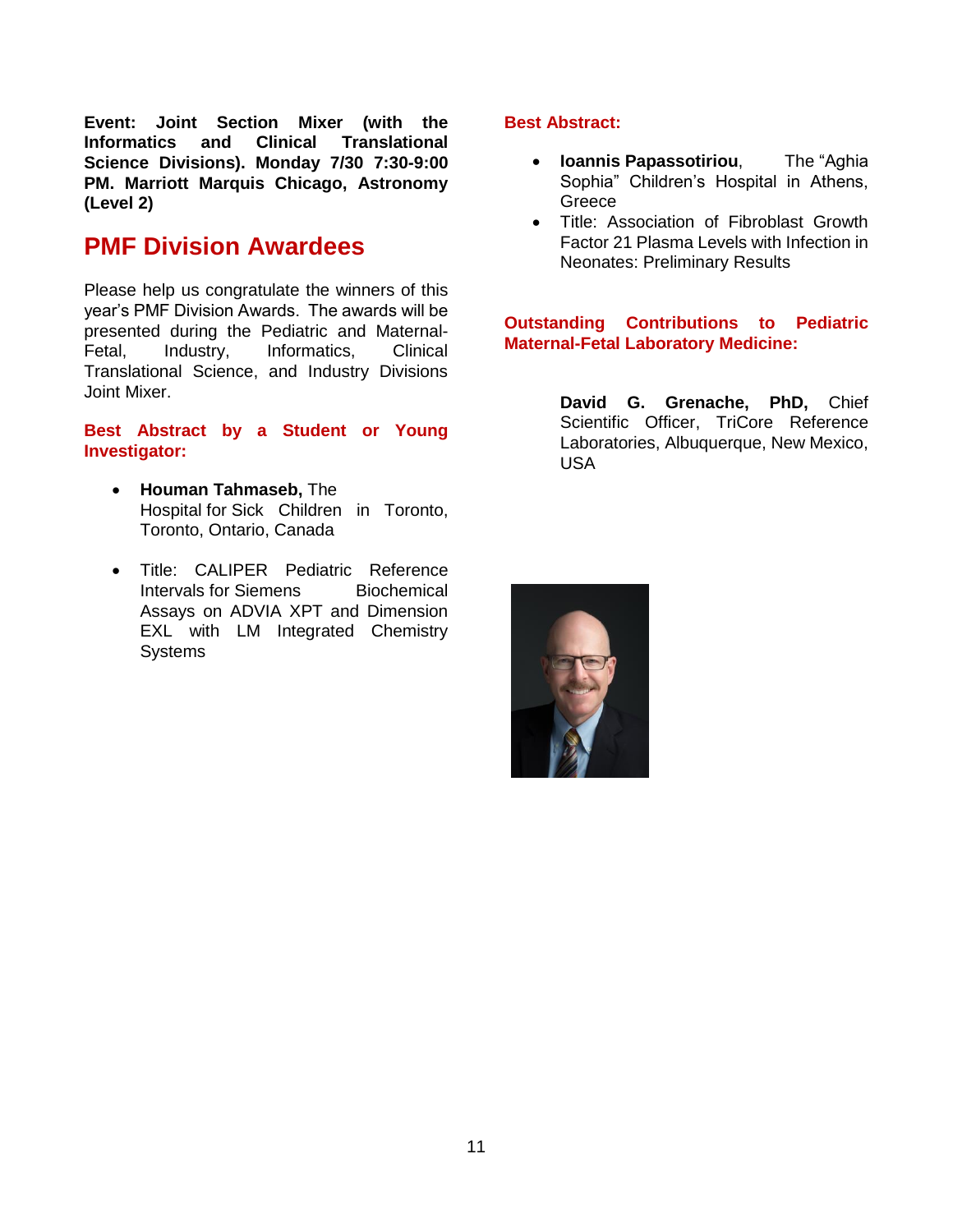**Event: Joint Section Mixer (with the Informatics and Clinical Translational Science Divisions). Monday 7/30 7:30-9:00 PM. Marriott Marquis Chicago, Astronomy (Level 2)**

# **PMF Division Awardees**

Please help us congratulate the winners of this year's PMF Division Awards. The awards will be presented during the Pediatric and Maternal-Fetal, Industry, Informatics, Clinical Translational Science, and Industry Divisions Joint Mixer.

## **Best Abstract by a Student or Young Investigator:**

- **Houman Tahmaseb,** The Hospital for Sick Children in Toronto, Toronto, Ontario, Canada
- Title: CALIPER Pediatric Reference Intervals for Siemens Biochemical Assays on ADVIA XPT and Dimension EXL with LM Integrated Chemistry **Systems**

## **Best Abstract:**

- **Ioannis Papassotiriou**, The "Aghia Sophia" Children's Hospital in Athens, Greece
- Title: Association of Fibroblast Growth Factor 21 Plasma Levels with Infection in Neonates: Preliminary Results

## **Outstanding Contributions to Pediatric Maternal-Fetal Laboratory Medicine:**

**David G. Grenache, PhD,** Chief Scientific Officer, TriCore Reference Laboratories, Albuquerque, New Mexico, USA

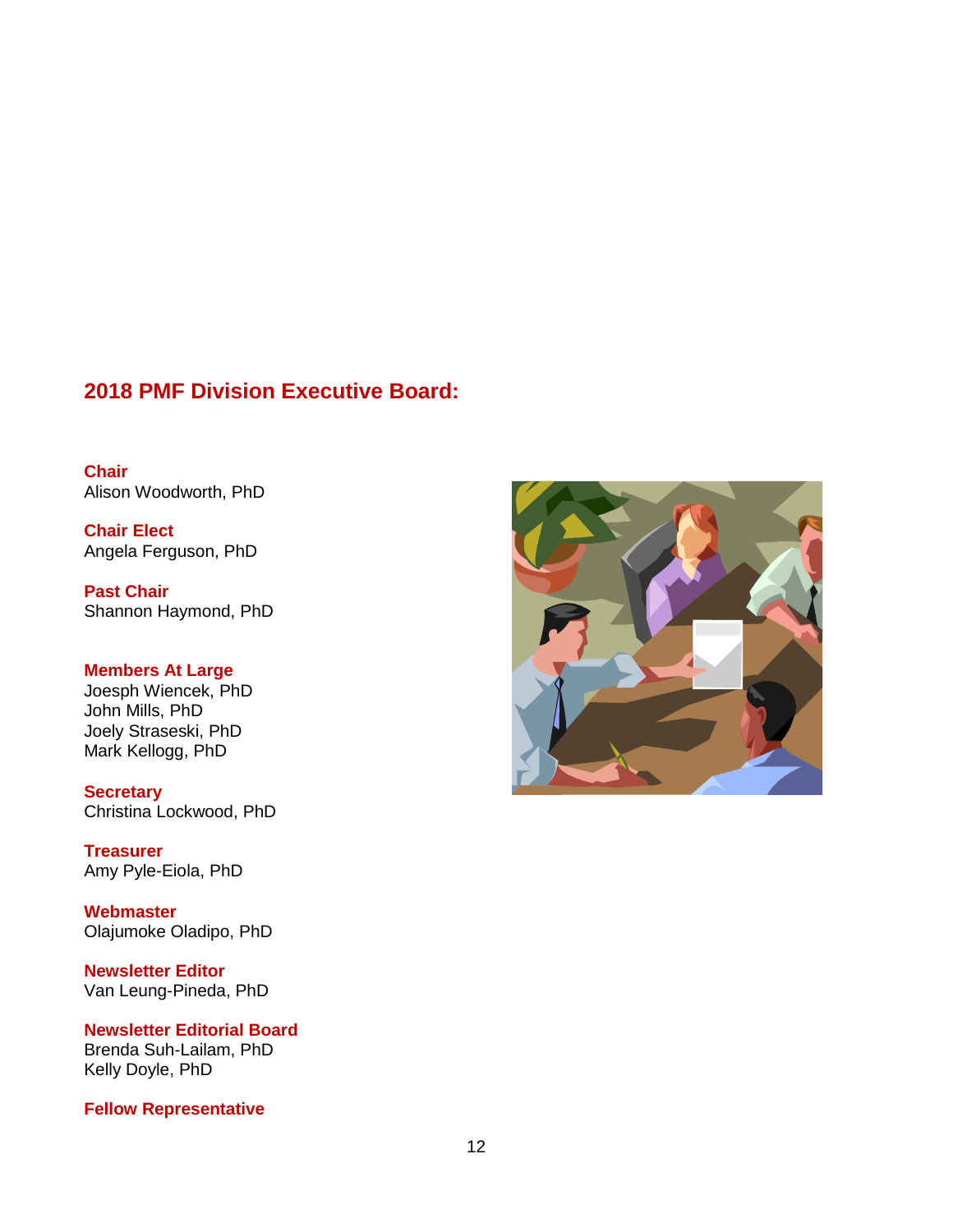# **2018 PMF Division Executive Board:**

**Chair** Alison Woodworth, PhD

**Chair Elect** Angela Ferguson, PhD

**Past Chair** Shannon Haymond, PhD

## **Members At Large**

Joesph Wiencek, PhD John Mills, PhD Joely Straseski, PhD Mark Kellogg, PhD

**Secretary** Christina Lockwood, PhD

**Treasurer** Amy Pyle-Eiola, PhD

**Webmaster** Olajumoke Oladipo, PhD

**Newsletter Editor** Van Leung-Pineda, PhD

**Newsletter Editorial Board** Brenda Suh-Lailam, PhD Kelly Doyle, PhD

**Fellow Representative**